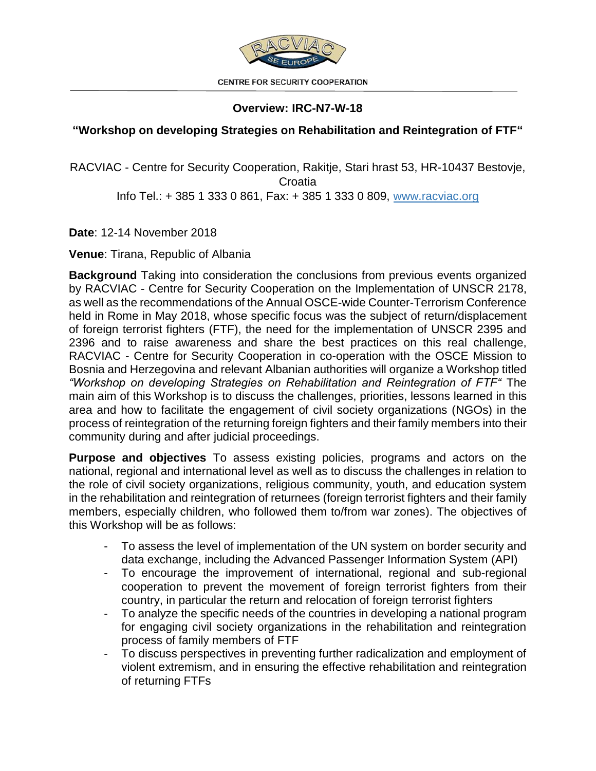

**CENTRE FOR SECURITY COOPERATION** 

## **Overview: IRC-N7-W-18**

## **"Workshop on developing Strategies on Rehabilitation and Reintegration of FTF"**

RACVIAC - Centre for Security Cooperation, Rakitje, Stari hrast 53, HR-10437 Bestovje, **Croatia** Info Tel.: + 385 1 333 0 861, Fax: + 385 1 333 0 809, [www.racviac.org](http://www.racviac.org/)

**Date**: 12-14 November 2018

**Venue**: Tirana, Republic of Albania

**Background** Taking into consideration the conclusions from previous events organized by RACVIAC - Centre for Security Cooperation on the Implementation of UNSCR 2178, as well as the recommendations of the Annual OSCE-wide Counter-Terrorism Conference held in Rome in May 2018, whose specific focus was the subject of return/displacement of foreign terrorist fighters (FTF), the need for the implementation of UNSCR 2395 and 2396 and to raise awareness and share the best practices on this real challenge, RACVIAC - Centre for Security Cooperation in co-operation with the OSCE Mission to Bosnia and Herzegovina and relevant Albanian authorities will organize a Workshop titled *"Workshop on developing Strategies on Rehabilitation and Reintegration of FTF"* The main aim of this Workshop is to discuss the challenges, priorities, lessons learned in this area and how to facilitate the engagement of civil society organizations (NGOs) in the process of reintegration of the returning foreign fighters and their family members into their community during and after judicial proceedings.

**Purpose and objectives** To assess existing policies, programs and actors on the national, regional and international level as well as to discuss the challenges in relation to the role of civil society organizations, religious community, youth, and education system in the rehabilitation and reintegration of returnees (foreign terrorist fighters and their family members, especially children, who followed them to/from war zones). The objectives of this Workshop will be as follows:

- To assess the level of implementation of the UN system on border security and data exchange, including the Advanced Passenger Information System (API)
- To encourage the improvement of international, regional and sub-regional cooperation to prevent the movement of foreign terrorist fighters from their country, in particular the return and relocation of foreign terrorist fighters
- To analyze the specific needs of the countries in developing a national program for engaging civil society organizations in the rehabilitation and reintegration process of family members of FTF
- To discuss perspectives in preventing further radicalization and employment of violent extremism, and in ensuring the effective rehabilitation and reintegration of returning FTFs